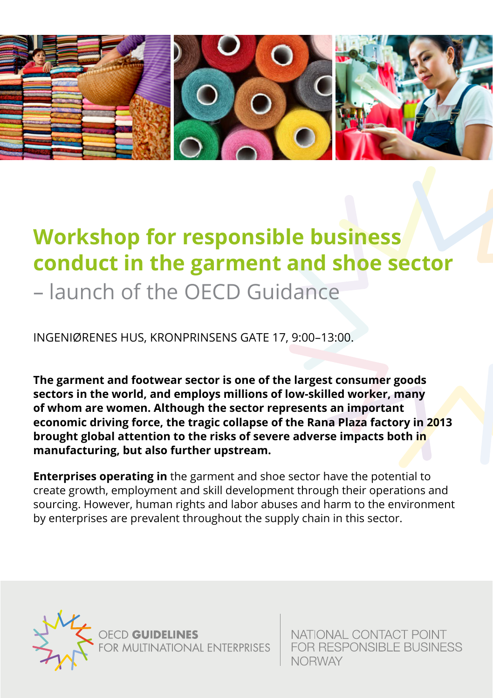

## **Workshop for responsible business conduct in the garment and shoe sector** – launch of the OECD Guidance

INGENIØRENES HUS, KRONPRINSENS GATE 17, 9:00–13:00.

**The garment and footwear sector is one of the largest consumer goods sectors in the world, and employs millions of low-skilled worker, many of whom are women. Although the sector represents an important economic driving force, the tragic collapse of the Rana Plaza factory in 2013 brought global attention to the risks of severe adverse impacts both in manufacturing, but also further upstream.**

**Enterprises operating in** the garment and shoe sector have the potential to create growth, employment and skill development through their operations and sourcing. However, human rights and labor abuses and harm to the environment by enterprises are prevalent throughout the supply chain in this sector.



NATIONAL CONTACT POINT **FOR RESPONSIBLE BUSINESS NORWAY**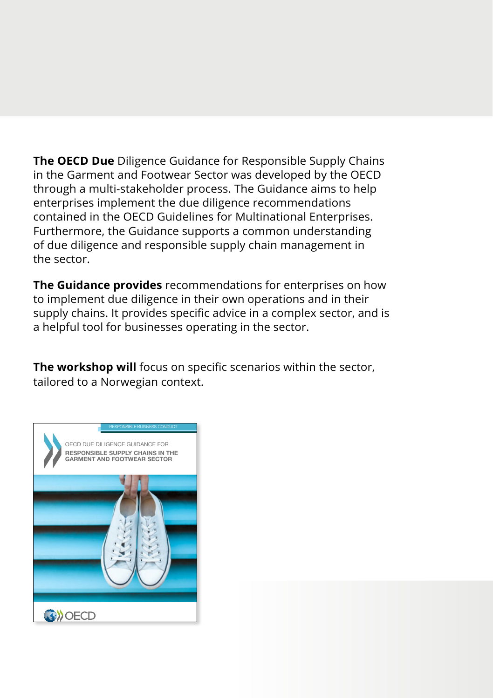The OECD Due Diligence Guidance for Responsible Supply Chains in the Garment and Footwear Sector was developed by the OECD through a multi-stakeholder process. The Guidance aims to help enterprises implement the due diligence recommendations contained in the OECD Guidelines for Multinational Enterprises. Furthermore, the Guidance supports a common understanding of due diligence and responsible supply chain management in the sector

The Guidance provides recommendations for enterprises on how to implement due diligence in their own operations and in their supply chains. It provides specific advice in a complex sector, and is a helpful tool for businesses operating in the sector.

The workshop will focus on specific scenarios within the sector, tailored to a Norwegian context.

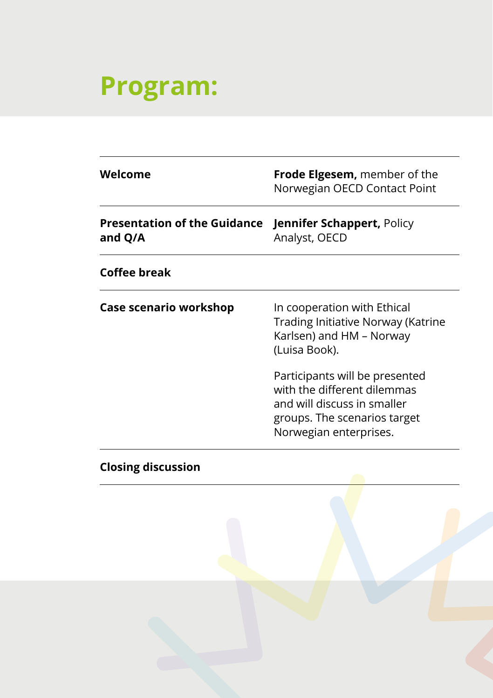## **Program:**

| Welcome                                                            | <b>Frode Elgesem,</b> member of the<br>Norwegian OECD Contact Point                                                                                    |
|--------------------------------------------------------------------|--------------------------------------------------------------------------------------------------------------------------------------------------------|
| Presentation of the Guidance Jennifer Schappert, Policy<br>and Q/A | Analyst, OECD                                                                                                                                          |
| Coffee break                                                       |                                                                                                                                                        |
| Case scenario workshop                                             | In cooperation with Ethical<br>Trading Initiative Norway (Katrine<br>Karlsen) and HM - Norway<br>(Luisa Book).                                         |
|                                                                    | Participants will be presented<br>with the different dilemmas<br>and will discuss in smaller<br>groups. The scenarios target<br>Norwegian enterprises. |
|                                                                    |                                                                                                                                                        |